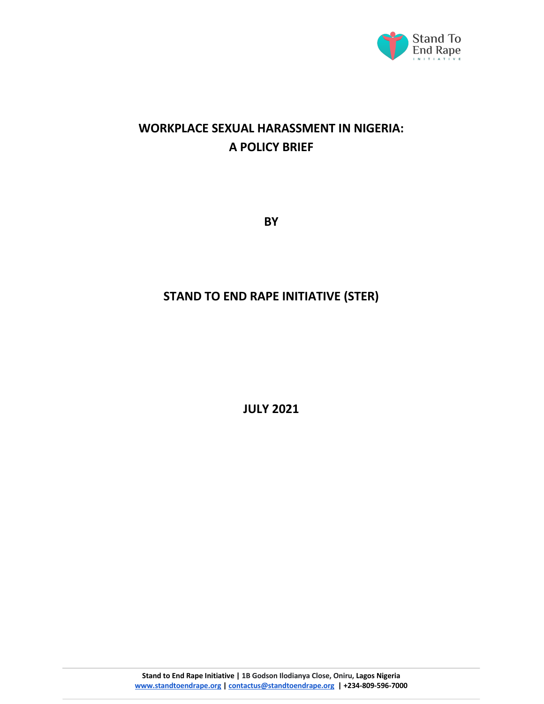

# **WORKPLACE SEXUAL HARASSMENT IN NIGERIA: A POLICY BRIEF**

**BY** 

# **STAND TO END RAPE INITIATIVE (STER)**

**JULY 2021**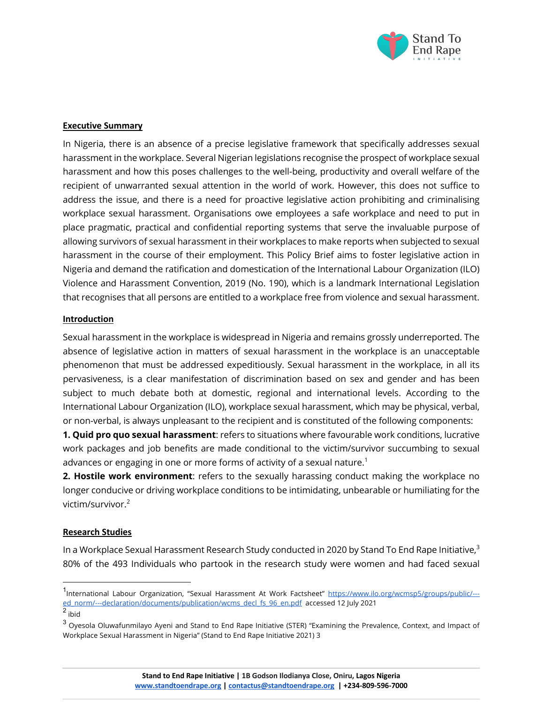

### **Executive Summary**

In Nigeria, there is an absence of a precise legislative framework that specifically addresses sexual harassment in the workplace. Several Nigerian legislations recognise the prospect of workplace sexual harassment and how this poses challenges to the well-being, productivity and overall welfare of the recipient of unwarranted sexual attention in the world of work. However, this does not suffice to address the issue, and there is a need for proactive legislative action prohibiting and criminalising workplace sexual harassment. Organisations owe employees a safe workplace and need to put in place pragmatic, practical and confidential reporting systems that serve the invaluable purpose of allowing survivors of sexual harassment in their workplaces to make reports when subjected to sexual harassment in the course of their employment. This Policy Brief aims to foster legislative action in Nigeria and demand the ratification and domestication of the International Labour Organization (ILO) Violence and Harassment Convention, 2019 (No. 190), which is a landmark International Legislation that recognises that all persons are entitled to a workplace free from violence and sexual harassment.

#### **Introduction**

Sexual harassment in the workplace is widespread in Nigeria and remains grossly underreported. The absence of legislative action in matters of sexual harassment in the workplace is an unacceptable phenomenon that must be addressed expeditiously. Sexual harassment in the workplace, in all its pervasiveness, is a clear manifestation of discrimination based on sex and gender and has been subject to much debate both at domestic, regional and international levels. According to the International Labour Organization (ILO), workplace sexual harassment, which may be physical, verbal, or non-verbal, is always unpleasant to the recipient and is constituted of the following components:

**1. Quid pro quo sexual harassment**: refers to situations where favourable work conditions, lucrative work packages and job benefits are made conditional to the victim/survivor succumbing to sexual advances or engaging in one or more forms of activity of a sexual nature.<sup>1</sup>

**2. Hostile work environment**: refers to the sexually harassing conduct making the workplace no longer conducive or driving workplace conditions to be intimidating, unbearable or humiliating for the victim/survivor.<sup>2</sup>

#### **Research Studies**

In a Workplace Sexual Harassment Research Study conducted in 2020 by Stand To End Rape Initiative, $3$ 80% of the 493 Individuals who partook in the research study were women and had faced sexual

<sup>2</sup> ibid

<sup>1&</sup>lt;br>International Labour Organization, "Sexual Harassment At Work Factsheet" https://www.ilo.org/wcmsp5/groups/public/--ed\_norm/---declaration/documents/publication/wcms\_decl\_fs\_96\_en.pdf accessed 12 July 2021

<sup>3</sup> Oyesola Oluwafunmilayo Ayeni and Stand to End Rape Initiative (STER) "Examining the Prevalence, Context, and Impact of Workplace Sexual Harassment in Nigeria" (Stand to End Rape Initiative 2021) 3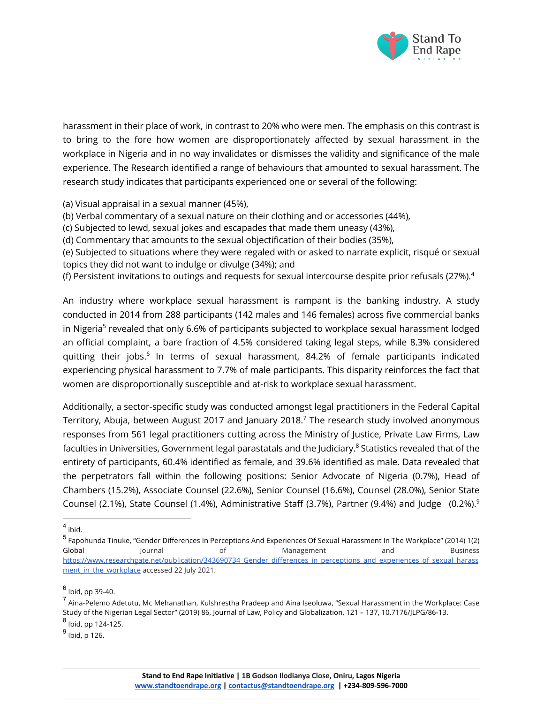

harassment in their place of work, in contrast to 20% who were men. The emphasis on this contrast is to bring to the fore how women are disproportionately affected by sexual harassment in the workplace in Nigeria and in no way invalidates or dismisses the validity and significance of the male experience. The Research identified a range of behaviours that amounted to sexual harassment. The research study indicates that participants experienced one or several of the following:

(a) Visual appraisal in a sexual manner (45%),

(b) Verbal commentary of a sexual nature on their clothing and or accessories (44%),

(c) Subjected to lewd, sexual jokes and escapades that made them uneasy (43%),

(d) Commentary that amounts to the sexual objectification of their bodies (35%),

(e) Subjected to situations where they were regaled with or asked to narrate explicit, risqué or sexual topics they did not want to indulge or divulge (34%); and

(f) Persistent invitations to outings and requests for sexual intercourse despite prior refusals (27%).<sup>4</sup>

An industry where workplace sexual harassment is rampant is the banking industry. A study conducted in 2014 from 288 participants (142 males and 146 females) across five commercial banks in Nigeria<sup>5</sup> revealed that only 6.6% of participants subjected to workplace sexual harassment lodged an official complaint, a bare fraction of 4.5% considered taking legal steps, while 8.3% considered quitting their jobs.<sup>6</sup> In terms of sexual harassment, 84.2% of female participants indicated experiencing physical harassment to 7.7% of male participants. This disparity reinforces the fact that women are disproportionally susceptible and at-risk to workplace sexual harassment.

Additionally, a sector-specific study was conducted amongst legal practitioners in the Federal Capital Territory, Abuja, between August 2017 and January 2018.<sup>7</sup> The research study involved anonymous responses from 561 legal practitioners cutting across the Ministry of Justice, Private Law Firms, Law faculties in Universities, Government legal parastatals and the Judiciary.<sup>8</sup> Statistics revealed that of the entirety of participants, 60.4% identified as female, and 39.6% identified as male. Data revealed that the perpetrators fall within the following positions: Senior Advocate of Nigeria (0.7%), Head of Chambers (15.2%), Associate Counsel (22.6%), Senior Counsel (16.6%), Counsel (28.0%), Senior State Counsel (2.1%), State Counsel (1.4%), Administrative Staff (3.7%), Partner (9.4%) and Judge  $(0.2\%)$ .<sup>9</sup>

<sup>4</sup> ibid.

 $<sup>9</sup>$  Ibid, p 126.</sup>

<sup>5</sup> Fapohunda Tinuke, "Gender Differences In Perceptions And Experiences Of Sexual Harassment In The Workplace" (2014) 1(2) Global Journal of Management and Business https://www.researchgate.net/publication/343690734\_Gender\_differences\_in\_perceptions\_and\_experiences\_of\_sexual\_harass ment in the workplace accessed 22 July 2021.

 $<sup>6</sup>$  Ibid, pp 39-40.</sup>

<sup>7</sup> Aina-Pelemo Adetutu, Mc Mehanathan, Kulshrestha Pradeep and Aina Iseoluwa, "Sexual Harassment in the Workplace: Case Study of the Nigerian Legal Sector" (2019) 86, Journal of Law, Policy and Globalization, 121 – 137, 10.7176/JLPG/86-13. <sup>8</sup> Ibid, pp 124-125.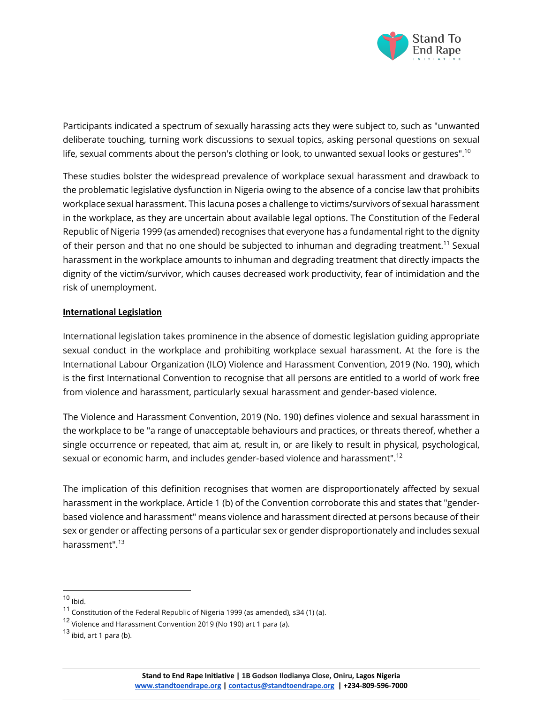

Participants indicated a spectrum of sexually harassing acts they were subject to, such as "unwanted deliberate touching, turning work discussions to sexual topics, asking personal questions on sexual life, sexual comments about the person's clothing or look, to unwanted sexual looks or gestures". $^{\rm 10}$ 

These studies bolster the widespread prevalence of workplace sexual harassment and drawback to the problematic legislative dysfunction in Nigeria owing to the absence of a concise law that prohibits workplace sexual harassment. This lacuna poses a challenge to victims/survivors of sexual harassment in the workplace, as they are uncertain about available legal options. The Constitution of the Federal Republic of Nigeria 1999 (as amended) recognises that everyone has a fundamental right to the dignity of their person and that no one should be subjected to inhuman and degrading treatment.<sup>11</sup> Sexual harassment in the workplace amounts to inhuman and degrading treatment that directly impacts the dignity of the victim/survivor, which causes decreased work productivity, fear of intimidation and the risk of unemployment.

### **International Legislation**

International legislation takes prominence in the absence of domestic legislation guiding appropriate sexual conduct in the workplace and prohibiting workplace sexual harassment. At the fore is the International Labour Organization (ILO) Violence and Harassment Convention, 2019 (No. 190), which is the first International Convention to recognise that all persons are entitled to a world of work free from violence and harassment, particularly sexual harassment and gender-based violence.

The Violence and Harassment Convention, 2019 (No. 190) defines violence and sexual harassment in the workplace to be "a range of unacceptable behaviours and practices, or threats thereof, whether a single occurrence or repeated, that aim at, result in, or are likely to result in physical, psychological, sexual or economic harm, and includes gender-based violence and harassment".<sup>12</sup>

The implication of this definition recognises that women are disproportionately affected by sexual harassment in the workplace. Article 1 (b) of the Convention corroborate this and states that "genderbased violence and harassment" means violence and harassment directed at persons because of their sex or gender or affecting persons of a particular sex or gender disproportionately and includes sexual harassment". 13

 $10$  Ibid.

<sup>11</sup> Constitution of the Federal Republic of Nigeria 1999 (as amended), s34 (1) (a).

<sup>12</sup> Violence and Harassment Convention 2019 (No 190) art 1 para (a).

 $13$  ibid, art 1 para (b).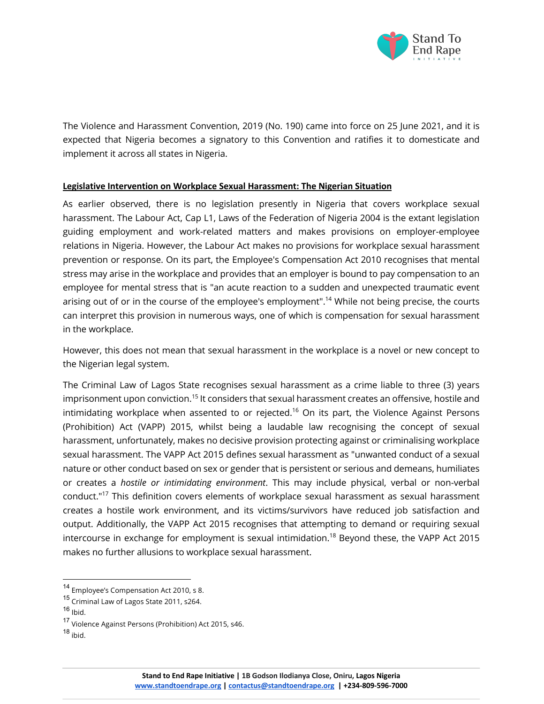

The Violence and Harassment Convention, 2019 (No. 190) came into force on 25 June 2021, and it is expected that Nigeria becomes a signatory to this Convention and ratifies it to domesticate and implement it across all states in Nigeria.

#### **Legislative Intervention on Workplace Sexual Harassment: The Nigerian Situation**

As earlier observed, there is no legislation presently in Nigeria that covers workplace sexual harassment. The Labour Act, Cap L1, Laws of the Federation of Nigeria 2004 is the extant legislation guiding employment and work-related matters and makes provisions on employer-employee relations in Nigeria. However, the Labour Act makes no provisions for workplace sexual harassment prevention or response. On its part, the Employee's Compensation Act 2010 recognises that mental stress may arise in the workplace and provides that an employer is bound to pay compensation to an employee for mental stress that is "an acute reaction to a sudden and unexpected traumatic event arising out of or in the course of the employee's employment".<sup>14</sup> While not being precise, the courts can interpret this provision in numerous ways, one of which is compensation for sexual harassment in the workplace.

However, this does not mean that sexual harassment in the workplace is a novel or new concept to the Nigerian legal system.

The Criminal Law of Lagos State recognises sexual harassment as a crime liable to three (3) years imprisonment upon conviction.<sup>15</sup> It considers that sexual harassment creates an offensive, hostile and intimidating workplace when assented to or rejected.<sup>16</sup> On its part, the Violence Against Persons (Prohibition) Act (VAPP) 2015, whilst being a laudable law recognising the concept of sexual harassment, unfortunately, makes no decisive provision protecting against or criminalising workplace sexual harassment. The VAPP Act 2015 defines sexual harassment as "unwanted conduct of a sexual nature or other conduct based on sex or gender that is persistent or serious and demeans, humiliates or creates a *hostile or intimidating environment*. This may include physical, verbal or non-verbal conduct." <sup>17</sup> This definition covers elements of workplace sexual harassment as sexual harassment creates a hostile work environment, and its victims/survivors have reduced job satisfaction and output. Additionally, the VAPP Act 2015 recognises that attempting to demand or requiring sexual intercourse in exchange for employment is sexual intimidation.<sup>18</sup> Beyond these, the VAPP Act 2015 makes no further allusions to workplace sexual harassment.

<sup>14</sup> Employee's Compensation Act 2010, s 8.

<sup>15</sup> Criminal Law of Lagos State 2011, s264.

 $16$  Ibid.

<sup>17</sup> Violence Against Persons (Prohibition) Act 2015, s46.

<sup>18</sup> ibid.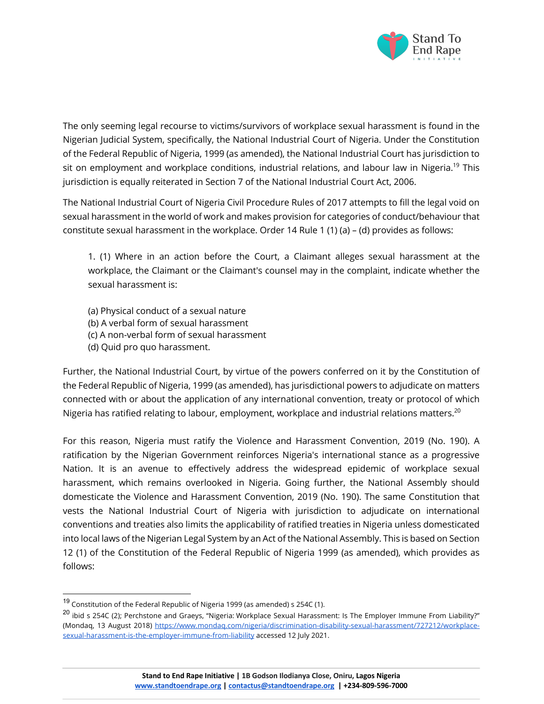

The only seeming legal recourse to victims/survivors of workplace sexual harassment is found in the Nigerian Judicial System, specifically, the National Industrial Court of Nigeria. Under the Constitution of the Federal Republic of Nigeria, 1999 (as amended), the National Industrial Court has jurisdiction to sit on employment and workplace conditions, industrial relations, and labour law in Nigeria.<sup>19</sup> This jurisdiction is equally reiterated in Section 7 of the National Industrial Court Act, 2006.

The National Industrial Court of Nigeria Civil Procedure Rules of 2017 attempts to fill the legal void on sexual harassment in the world of work and makes provision for categories of conduct/behaviour that constitute sexual harassment in the workplace. Order 14 Rule 1 (1) (a) – (d) provides as follows:

1. (1) Where in an action before the Court, a Claimant alleges sexual harassment at the workplace, the Claimant or the Claimant's counsel may in the complaint, indicate whether the sexual harassment is:

- (a) Physical conduct of a sexual nature
- (b) A verbal form of sexual harassment
- (c) A non-verbal form of sexual harassment
- (d) Quid pro quo harassment.

Further, the National Industrial Court, by virtue of the powers conferred on it by the Constitution of the Federal Republic of Nigeria, 1999 (as amended), has jurisdictional powers to adjudicate on matters connected with or about the application of any international convention, treaty or protocol of which Nigeria has ratified relating to labour, employment, workplace and industrial relations matters.<sup>20</sup>

For this reason, Nigeria must ratify the Violence and Harassment Convention, 2019 (No. 190). A ratification by the Nigerian Government reinforces Nigeria's international stance as a progressive Nation. It is an avenue to effectively address the widespread epidemic of workplace sexual harassment, which remains overlooked in Nigeria. Going further, the National Assembly should domesticate the Violence and Harassment Convention, 2019 (No. 190). The same Constitution that vests the National Industrial Court of Nigeria with jurisdiction to adjudicate on international conventions and treaties also limits the applicability of ratified treaties in Nigeria unless domesticated into local laws of the Nigerian Legal System by an Act of the National Assembly. This is based on Section 12 (1) of the Constitution of the Federal Republic of Nigeria 1999 (as amended), which provides as follows:

<sup>&</sup>lt;sup>19</sup> Constitution of the Federal Republic of Nigeria 1999 (as amended) s 254C (1).

 $^{20}$  ibid s 254C (2); Perchstone and Graeys, "Nigeria: Workplace Sexual Harassment: Is The Employer Immune From Liability?" (Mondaq, 13 August 2018) https://www.mondaq.com/nigeria/discrimination-disability-sexual-harassment/727212/workplacesexual-harassment-is-the-employer-immune-from-liability accessed 12 July 2021.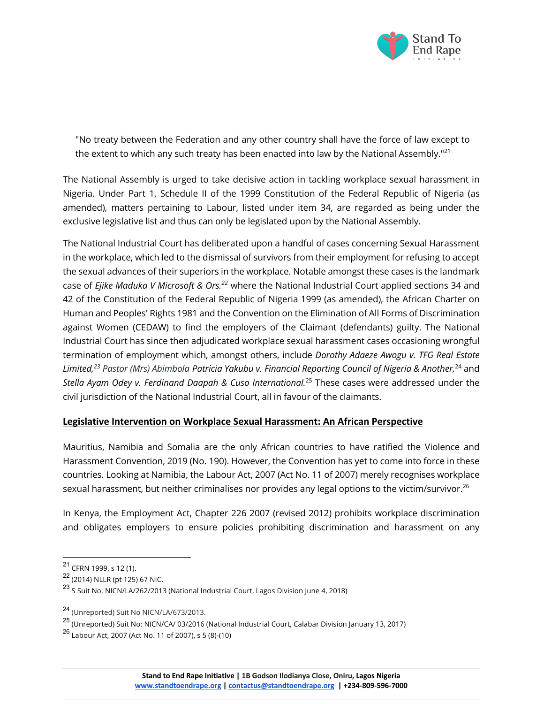

"No treaty between the Federation and any other country shall have the force of law except to the extent to which any such treaty has been enacted into law by the National Assembly."<sup>21</sup>

The National Assembly is urged to take decisive action in tackling workplace sexual harassment in Nigeria. Under Part 1, Schedule II of the 1999 Constitution of the Federal Republic of Nigeria (as amended), matters pertaining to Labour, listed under item 34, are regarded as being under the exclusive legislative list and thus can only be legislated upon by the National Assembly.

The National Industrial Court has deliberated upon a handful of cases concerning Sexual Harassment in the workplace, which led to the dismissal of survivors from their employment for refusing to accept the sexual advances of their superiors in the workplace. Notable amongst these cases is the landmark case of *Ejike Maduka V Microsoft & Ors.22* where the National Industrial Court applied sections 34 and 42 of the Constitution of the Federal Republic of Nigeria 1999 (as amended), the African Charter on Human and Peoples' Rights 1981 and the Convention on the Elimination of All Forms of Discrimination against Women (CEDAW) to find the employers of the Claimant (defendants) guilty. The National Industrial Court has since then adjudicated workplace sexual harassment cases occasioning wrongful termination of employment which, amongst others, include *Dorothy Adaeze Awogu v. TFG Real Estate Limited,23 Pastor (Mrs) Abimbola Patricia Yakubu v. Financial Reporting Council of Nigeria & Another,*<sup>24</sup> and *Stella Ayam Odey v. Ferdinand Daapah & Cuso International.*<sup>25</sup> These cases were addressed under the civil jurisdiction of the National Industrial Court, all in favour of the claimants.

# **Legislative Intervention on Workplace Sexual Harassment: An African Perspective**

Mauritius, Namibia and Somalia are the only African countries to have ratified the Violence and Harassment Convention, 2019 (No. 190). However, the Convention has yet to come into force in these countries. Looking at Namibia, the Labour Act, 2007 (Act No. 11 of 2007) merely recognises workplace sexual harassment, but neither criminalises nor provides any legal options to the victim/survivor.<sup>26</sup>

In Kenya, the Employment Act, Chapter 226 2007 (revised 2012) prohibits workplace discrimination and obligates employers to ensure policies prohibiting discrimination and harassment on any

<sup>21</sup> CFRN 1999, s 12 (1).

<sup>22</sup> (2014) NLLR (pt 125) 67 NIC.

<sup>23</sup> <sup>S</sup> Suit No. NICN/LA/262/2013 (National Industrial Court, Lagos Division June 4, 2018)

<sup>24</sup> (Unreported) Suit No NICN/LA/673/2013.

<sup>25</sup> (Unreported) Suit No: NICN/CA/ 03/2016 (National Industrial Court, Calabar Division January 13, 2017)

<sup>26</sup> Labour Act, 2007 (Act No. 11 of 2007), s 5 (8)-(10)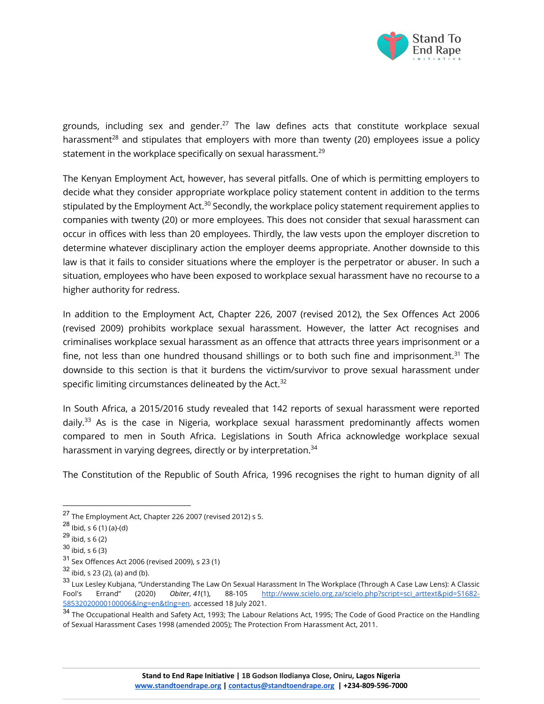

grounds, including sex and gender.<sup>27</sup> The law defines acts that constitute workplace sexual harassment<sup>28</sup> and stipulates that employers with more than twenty (20) employees issue a policy statement in the workplace specifically on sexual harassment.<sup>29</sup>

The Kenyan Employment Act, however, has several pitfalls. One of which is permitting employers to decide what they consider appropriate workplace policy statement content in addition to the terms stipulated by the Employment Act.<sup>30</sup> Secondly, the workplace policy statement requirement applies to companies with twenty (20) or more employees. This does not consider that sexual harassment can occur in offices with less than 20 employees. Thirdly, the law vests upon the employer discretion to determine whatever disciplinary action the employer deems appropriate. Another downside to this law is that it fails to consider situations where the employer is the perpetrator or abuser. In such a situation, employees who have been exposed to workplace sexual harassment have no recourse to a higher authority for redress.

In addition to the Employment Act, Chapter 226, 2007 (revised 2012), the Sex Offences Act 2006 (revised 2009) prohibits workplace sexual harassment. However, the latter Act recognises and criminalises workplace sexual harassment as an offence that attracts three years imprisonment or a fine, not less than one hundred thousand shillings or to both such fine and imprisonment.<sup>31</sup> The downside to this section is that it burdens the victim/survivor to prove sexual harassment under specific limiting circumstances delineated by the Act. $32$ 

In South Africa, a 2015/2016 study revealed that 142 reports of sexual harassment were reported daily.<sup>33</sup> As is the case in Nigeria, workplace sexual harassment predominantly affects women compared to men in South Africa. Legislations in South Africa acknowledge workplace sexual harassment in varying degrees, directly or by interpretation.<sup>34</sup>

The Constitution of the Republic of South Africa, 1996 recognises the right to human dignity of all

<sup>27</sup> The Employment Act, Chapter 226 2007 (revised 2012) s 5.

 $28$  Ibid, s 6 (1) (a)-(d)

 $29$  ibid, s 6 (2)

 $30$  ibid, s 6 (3)

<sup>31</sup> Sex Offences Act 2006 (revised 2009), s 23 (1)

<sup>32</sup> ibid, s 23 (2), (a) and (b).

<sup>&</sup>lt;sup>33</sup> Lux Lesley Kubjana, "Understanding The Law On Sexual Harassment In The Workplace (Through A Case Law Lens): A Classic<br>Fool's Frrand" (2020) Obiter, 41(1), 88-105 <u>http://www.scielo.org.za/scielo.php?script=sci\_arttext</u> Fool's Errand" (2020) *Obiter*, *41*(1), 88-105 http://www.scielo.org.za/scielo.php?script=sci\_arttext&pid=S1682- 58532020000100006&lng=en&tlng=en. accessed 18 July 2021.

<sup>&</sup>lt;sup>34</sup> The Occupational Health and Safety Act, 1993; The Labour Relations Act, 1995; The Code of Good Practice on the Handling of Sexual Harassment Cases 1998 (amended 2005); The Protection From Harassment Act, 2011.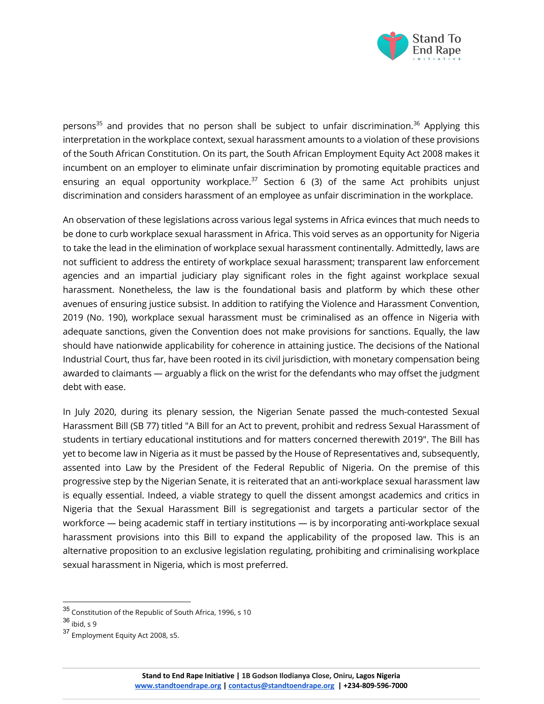

persons<sup>35</sup> and provides that no person shall be subject to unfair discrimination.<sup>36</sup> Applying this interpretation in the workplace context, sexual harassment amounts to a violation of these provisions of the South African Constitution. On its part, the South African Employment Equity Act 2008 makes it incumbent on an employer to eliminate unfair discrimination by promoting equitable practices and ensuring an equal opportunity workplace.<sup>37</sup> Section 6 (3) of the same Act prohibits unjust discrimination and considers harassment of an employee as unfair discrimination in the workplace.

An observation of these legislations across various legal systems in Africa evinces that much needs to be done to curb workplace sexual harassment in Africa. This void serves as an opportunity for Nigeria to take the lead in the elimination of workplace sexual harassment continentally. Admittedly, laws are not sufficient to address the entirety of workplace sexual harassment; transparent law enforcement agencies and an impartial judiciary play significant roles in the fight against workplace sexual harassment. Nonetheless, the law is the foundational basis and platform by which these other avenues of ensuring justice subsist. In addition to ratifying the Violence and Harassment Convention, 2019 (No. 190), workplace sexual harassment must be criminalised as an offence in Nigeria with adequate sanctions, given the Convention does not make provisions for sanctions. Equally, the law should have nationwide applicability for coherence in attaining justice. The decisions of the National Industrial Court, thus far, have been rooted in its civil jurisdiction, with monetary compensation being awarded to claimants — arguably a flick on the wrist for the defendants who may offset the judgment debt with ease.

In July 2020, during its plenary session, the Nigerian Senate passed the much-contested Sexual Harassment Bill (SB 77) titled "A Bill for an Act to prevent, prohibit and redress Sexual Harassment of students in tertiary educational institutions and for matters concerned therewith 2019". The Bill has yet to become law in Nigeria as it must be passed by the House of Representatives and, subsequently, assented into Law by the President of the Federal Republic of Nigeria. On the premise of this progressive step by the Nigerian Senate, it is reiterated that an anti-workplace sexual harassment law is equally essential. Indeed, a viable strategy to quell the dissent amongst academics and critics in Nigeria that the Sexual Harassment Bill is segregationist and targets a particular sector of the workforce — being academic staff in tertiary institutions — is by incorporating anti-workplace sexual harassment provisions into this Bill to expand the applicability of the proposed law. This is an alternative proposition to an exclusive legislation regulating, prohibiting and criminalising workplace sexual harassment in Nigeria, which is most preferred.

<sup>35</sup> Constitution of the Republic of South Africa, 1996, s 10

 $36$  ibid, s 9

<sup>37</sup> Employment Equity Act 2008, s5.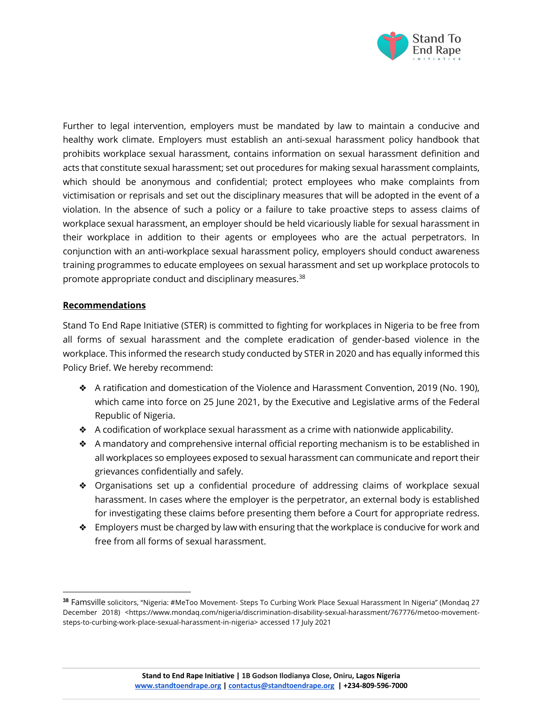

Further to legal intervention, employers must be mandated by law to maintain a conducive and healthy work climate. Employers must establish an anti-sexual harassment policy handbook that prohibits workplace sexual harassment, contains information on sexual harassment definition and acts that constitute sexual harassment; set out procedures for making sexual harassment complaints, which should be anonymous and confidential; protect employees who make complaints from victimisation or reprisals and set out the disciplinary measures that will be adopted in the event of a violation. In the absence of such a policy or a failure to take proactive steps to assess claims of workplace sexual harassment, an employer should be held vicariously liable for sexual harassment in their workplace in addition to their agents or employees who are the actual perpetrators. In conjunction with an anti-workplace sexual harassment policy, employers should conduct awareness training programmes to educate employees on sexual harassment and set up workplace protocols to promote appropriate conduct and disciplinary measures.<sup>38</sup>

### **Recommendations**

Stand To End Rape Initiative (STER) is committed to fighting for workplaces in Nigeria to be free from all forms of sexual harassment and the complete eradication of gender-based violence in the workplace. This informed the research study conducted by STER in 2020 and has equally informed this Policy Brief. We hereby recommend:

- ❖ A ratification and domestication of the Violence and Harassment Convention, 2019 (No. 190), which came into force on 25 June 2021, by the Executive and Legislative arms of the Federal Republic of Nigeria.
- ❖ A codification of workplace sexual harassment as a crime with nationwide applicability.
- $\triangle$  A mandatory and comprehensive internal official reporting mechanism is to be established in all workplaces so employees exposed to sexual harassment can communicate and report their grievances confidentially and safely.
- ❖ Organisations set up a confidential procedure of addressing claims of workplace sexual harassment. In cases where the employer is the perpetrator, an external body is established for investigating these claims before presenting them before a Court for appropriate redress.
- ❖ Employers must be charged by law with ensuring that the workplace is conducive for work and free from all forms of sexual harassment.

**<sup>38</sup>** Famsville solicitors, "Nigeria: #MeToo Movement- Steps To Curbing Work Place Sexual Harassment In Nigeria" (Mondaq 27 December 2018) <https://www.mondaq.com/nigeria/discrimination-disability-sexual-harassment/767776/metoo-movementsteps-to-curbing-work-place-sexual-harassment-in-nigeria> accessed 17 July 2021